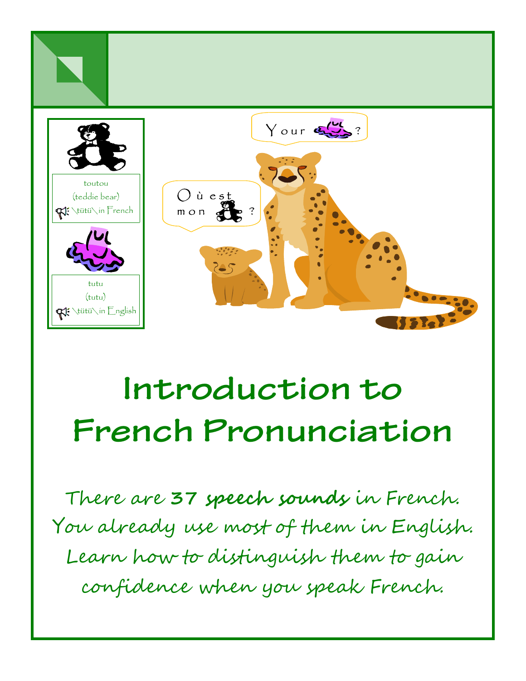

### **Introduction to French Pronunciation**

There are **37 speech sounds** in French. You already use most of them in English. Learn how to distinguish them to gain confidence when you speak French.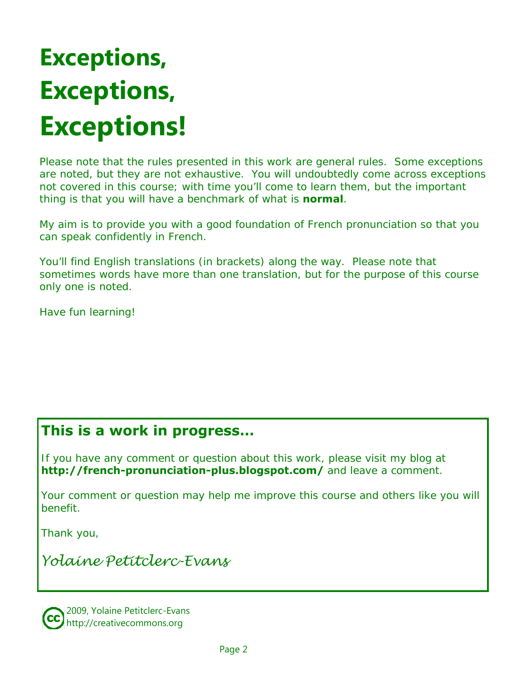### **Exceptions, Exceptions, Exceptions!**

Please note that the rules presented in this work are general rules. Some exceptions are noted, but they are not exhaustive. You will undoubtedly come across exceptions not covered in this course; with time you'll come to learn them, but the important thing is that you will have a benchmark of what is *normal*.

My aim is to provide you with a good foundation of French pronunciation so that you can speak confidently in French.

You'll find English translations (in brackets) along the way. Please note that sometimes words have more than one translation, but for the purpose of this course only one is noted.

Have fun learning!

#### **This is a work in progress…**

If you have any comment or question about this work, please visit my blog at **http://french-pronunciation-plus.blogspot.com/** and leave a comment.

Your comment or question may help me improve this course and others like you will benefit.

Thank you,

*Yolaine Petitclerc-Evans* 

2009, Yolaine Petitclerc-Evans http://creativecommons.org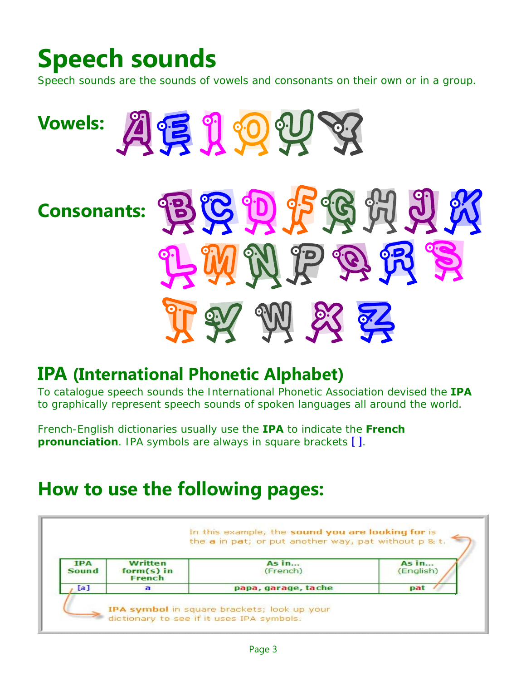### **Speech sounds**

Speech sounds are the sounds of vowels and consonants on their own or in a group.



#### **IPA (International Phonetic Alphabet)**

To catalogue speech sounds the International Phonetic Association devised the **IPA** to graphically represent speech sounds of spoken languages all around the world.

French-English dictionaries usually use the **IPA** to indicate the **French pronunciation**. IPA symbols are always in square brackets **[ ]**.

#### **How to use the following pages:**

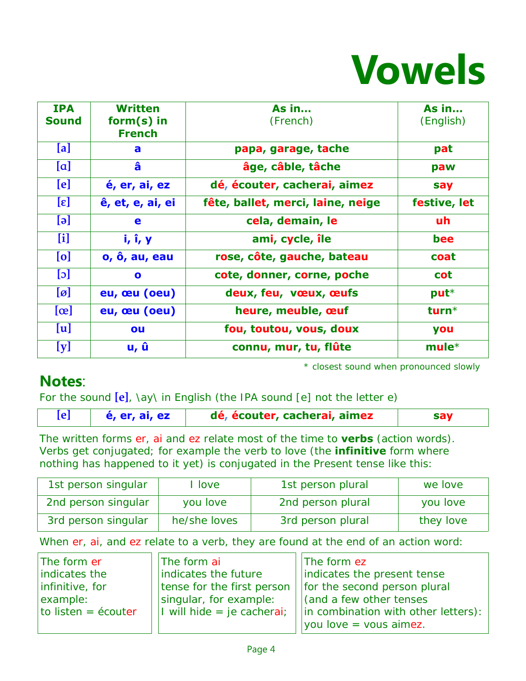

| <b>IPA</b><br><b>Sound</b>    | <b>Written</b><br>$form(s)$ in<br><b>French</b> | As in<br>(French)                 | As in<br>(English) |
|-------------------------------|-------------------------------------------------|-----------------------------------|--------------------|
| [a]                           | a                                               | papa, garage, tache               | pat                |
| [a]                           | â                                               | âge, câble, tâche                 | paw                |
| [e]                           | é, er, ai, ez                                   | dé, écouter, cacherai, aimez      | say                |
| $[\epsilon]$                  | ê, et, e, ai, ei                                | fête, ballet, merci, laine, neige | festive, let       |
| $\lbrack \Theta \rbrack$      | e                                               | cela, demain, le                  | uh                 |
| [i]                           | i, i, y                                         | ami, cycle, île                   | bee                |
| [o]                           | o, ô, au, eau                                   | rose, côte, gauche, bateau        | coat               |
| [c]                           | $\bullet$                                       | cote, donner, corne, poche        | <b>cot</b>         |
| $\lbrack \varnothing \rbrack$ | eu, œu (oeu)                                    | deux, feu, vœux, œufs             | $put*$             |
| $[\alpha]$                    | eu, œu (oeu)                                    | heure, meuble, œuf                | turn $*$           |
| [u]                           | ou                                              | fou, toutou, vous, doux           | you                |
| [y]                           | u, û                                            | connu, mur, tu, flûte             | $mule*$            |

\* *closest sound when pronounced slowly* 

#### **Notes**:

For the sound **[e]**, \ay\ in English (the IPA sound [e] not the letter e)

**[e] é, er, ai, ez dé, écouter, cacherai, aimez say**

The written forms er, ai and ez relate most of the time to **verbs** (action words). Verbs get conjugated; for example the verb *to love* (the **infinitive** form where nothing has happened to it yet) is conjugated in the Present tense like this:

| 1st person singular | I love       | 1st person plural | we love   |
|---------------------|--------------|-------------------|-----------|
| 2nd person singular | you love     | 2nd person plural | you love  |
| 3rd person singular | he/she loves | 3rd person plural | they love |

When er, ai, and ez relate to a verb, they are found at the end of an action word:

| The form er         | The form ai                  | The form ez                                                           |
|---------------------|------------------------------|-----------------------------------------------------------------------|
| indicates the       | indicates the future         | indicates the present tense                                           |
| infinitive, for     |                              | tense for the first person $\vert \vert$ for the second person plural |
| example:            | singular, for example:       | $\vert$ (and a few other tenses                                       |
| to listen = écouter | I will hide $=$ je cacherai; | in combination with other letters):                                   |
|                     |                              | $\vert \nu \vert$ you love = vous aimez.                              |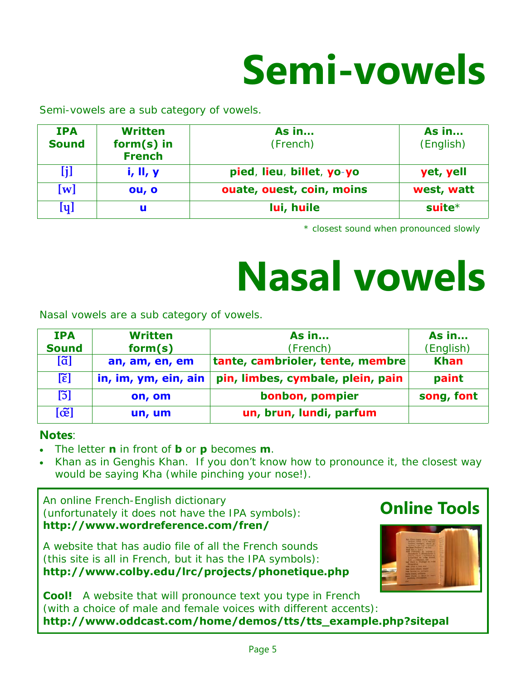## **Semi-vowels**

Semi-vowels are a sub category of vowels.

| <b>IPA</b><br><b>Sound</b> | <b>Written</b><br>$form(s)$ in<br><b>French</b> | <b>As in</b><br>(French)  | <b>As in</b><br>(English) |
|----------------------------|-------------------------------------------------|---------------------------|---------------------------|
| [j]                        | i, II, y                                        | pied, lieu, billet, yo-yo | yet, yell                 |
| $\left[\mathbf{w}\right]$  | ou, o                                           | ouate, ouest, coin, moins | west, watt                |
| $[\mathsf{q}]$             | u                                               | lui, huile                | suite $*$                 |

\* *closest sound when pronounced slowly* 

## **Nasal vowels**

Nasal vowels are a sub category of vowels.

| <b>IPA</b>           | <b>Written</b>       | <b>As in</b>                      | As in       |
|----------------------|----------------------|-----------------------------------|-------------|
| <b>Sound</b>         | form(s)              | (French)                          | (English)   |
| $[\tilde{a}]$        | an, am, en, em       | tante, cambrioler, tente, membre  | <b>Khan</b> |
| $[\tilde{\epsilon}]$ | in, im, ym, ein, ain | pin, limbes, cymbale, plein, pain | paint       |
| [5]                  | on, om               | bonbon, pompier                   | song, font  |
| [œ̃]                 | un, um               | un, brun, lundi, parfum           |             |

#### **Notes**:

- The letter **n** in front of **b** or **p** becomes **m**.
- Khan as in Genghis Khan. If you don't know how to pronounce it, the closest way would be saying Kha (while pinching your nose!).

An online French-English dictionary (unfortunately it does not have the IPA symbols): **http://www.wordreference.com/fren/** 

A website that has audio file of all the French sounds (this site is all in French, but it has the IPA symbols): **http://www.colby.edu/lrc/projects/phonetique.php**



**Online Tools**

**Cool!** A website that will pronounce text you type in French (with a choice of male and female voices with different accents): **http://www.oddcast.com/home/demos/tts/tts\_example.php?sitepal**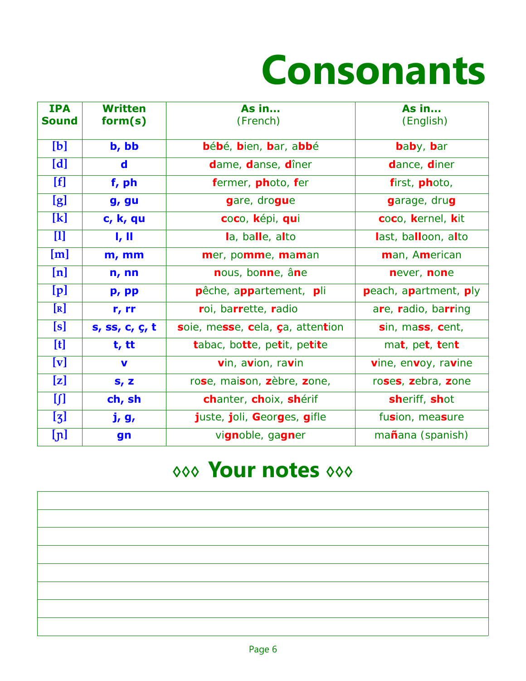## **Consonants**

| <b>IPA</b><br><b>Sound</b> | <b>Written</b><br>form(s) | <b>As in</b><br>(French)         | <b>As in</b><br>(English) |
|----------------------------|---------------------------|----------------------------------|---------------------------|
| [b]                        | b, bb                     | bébé, bien, bar, abbé            | baby, bar                 |
| [d]                        | $\mathbf d$               | dame, danse, dîner               | dance, diner              |
| [f]                        | $f$ , ph                  | fermer, photo, fer               | first, photo,             |
| [g]                        | g, gu                     | gare, drogue                     | garage, drug              |
| [k]                        | c, k, qu                  | coco, képi, qui                  | coco, kernel, kit         |
| $[1]$                      | I, II                     | la, balle, alto                  | last, balloon, alto       |
| [m]                        | $m,$ mm                   | mer, pomme, maman                | man, American             |
| [n]                        | n, nn                     | nous, bonne, âne                 | never, none               |
| [p]                        | p, pp                     | pêche, appartement, pli          | peach, apartment, ply     |
| [R]                        | r, rr                     | roi, barrette, radio             | are, radio, barring       |
| [s]                        | s, ss, c, ç, t            | soie, messe, cela, ça, attention | sin, mass, cent,          |
| [t]                        | t, tt                     | tabac, botte, petit, petite      | mat, pet, tent            |
| [v]                        | $\mathbf v$               | vin, avion, ravin                | vine, envoy, ravine       |
| [z]                        | $S_I$ Z                   | rose, maison, zèbre, zone,       | roses, zebra, zone        |
| []                         | ch, sh                    | chanter, choix, shérif           | sheriff, shot             |
| $\left[\mathbf{z}\right]$  | j, g,                     | juste, joli, Georges, gifle      | fusion, measure           |
| [ɲ]                        | gn                        | vignoble, gagner                 | mañana (spanish)          |

#### **◊◊◊ Your notes ◊◊◊**

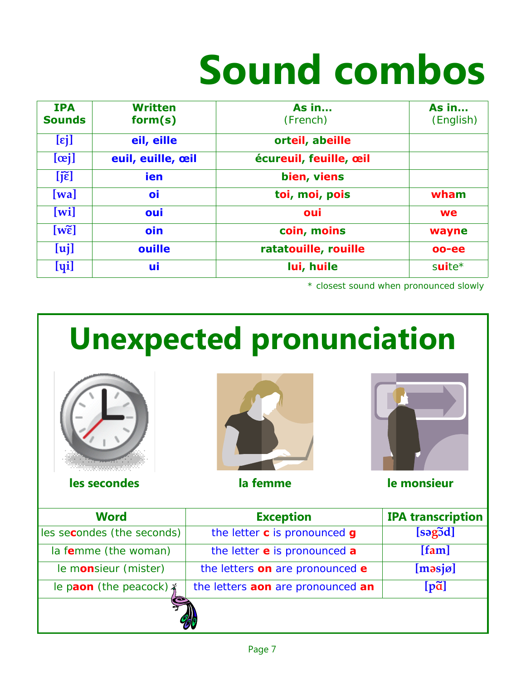# **Sound combos**

| <b>IPA</b><br><b>Sounds</b> | <b>Written</b><br>form(s) | As in<br>(French)      | As $in$<br>(English) |
|-----------------------------|---------------------------|------------------------|----------------------|
| $[\epsilon j]$              | eil, eille                | orteil, abeille        |                      |
| [ <i>ceil</i> ]             | euil, euille, œil         | écureuil, feuille, œil |                      |
| $[i\tilde{\epsilon}]$       | <b>ien</b>                | bien, viens            |                      |
| $[\mathbf{wa}]$             | oi                        | toi, moi, pois         | wham                 |
| $[\overline{\text{wil}}]$   | oui                       | oui                    | <b>we</b>            |
| $[w\tilde{\epsilon}]$       | oin                       | coin, moins            | wayne                |
| [u]                         | ouille                    | ratatouille, rouille   | oo-ee                |
| $[y_i]$                     | ui                        | lui, huile             | $s$ uite $*$         |

\* *closest sound when pronounced slowly* 

## **Unexpected pronunciation Word Exception IPA transcription**  les secondes (the seconds) the letter c is pronounced g [sagod] la f**e**mme (the woman) the letter **e** is pronounced **a [fam]** le monsieur (mister)  $\vert$  the letters on are pronounced **e** [masjø] le paon (the peacock)  $x \mid$  the letters **aon** are pronounced **an [pã] les secondes** la femme la monsieur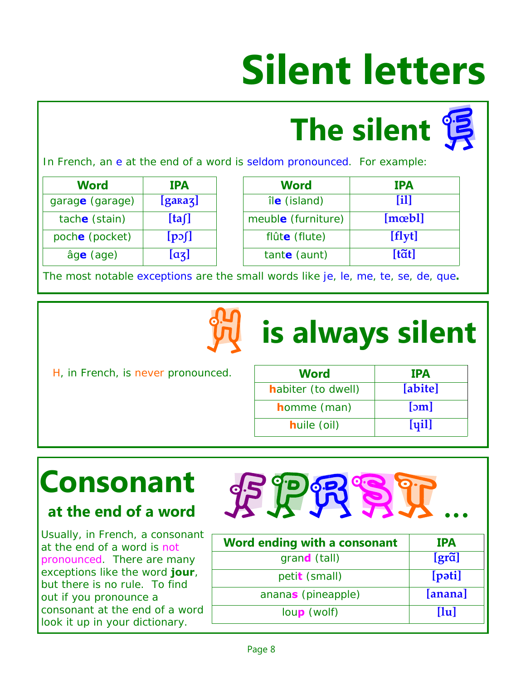# **Silent letters**

# **The silent**

In French, an e at the end of a word is seldom pronounced. For example:

| Word            | <b>IPA</b>    |
|-----------------|---------------|
| garage (garage) | $[g$ ara $z]$ |
| tache (stain)   | [ta]          |
| poche (pocket)  | $[p \circ f]$ |
| âge (age)       | $[a_3]$       |

| <b>Word</b>     | <b>IPA</b>    | <b>Word</b>        | <b>IPA</b>      |
|-----------------|---------------|--------------------|-----------------|
| garage (garage) | [garaz]       | île (island)       | [11]            |
| tache (stain)   | [ta]          | meuble (furniture) | $[m \infty b]$  |
| poche (pocket)  | $[p \circ f]$ | flûte (flute)      | [flyt]          |
| âge (age)       | $[a_3]$       | tante (aunt)       | $[t\tilde{a}t]$ |

The most notable exceptions are the small words like je, le, me, te, se, de, que**.**



### **is always silent**

H, in French, is never pronounced.

| <b>Word</b>         | <b>IPA</b> |
|---------------------|------------|
| habiter (to dwell)  | [abite]    |
| <b>h</b> omme (man) | [5m]       |
| <b>huile (oil)</b>  | $[u_1]$    |

### **Consonant**

#### **at the end of a word**

Usually, in French, a consonant at the end of a word is not pronounced. There are many exceptions like the word **jour**, but there is no rule. To find out if you pronounce a consonant at the end of a word look it up in your dictionary.

| <b>IPA</b> |
|------------|
| [grã]      |
| [pəti]     |
| [anana]    |
| [lu]       |
|            |

 $E^{op}$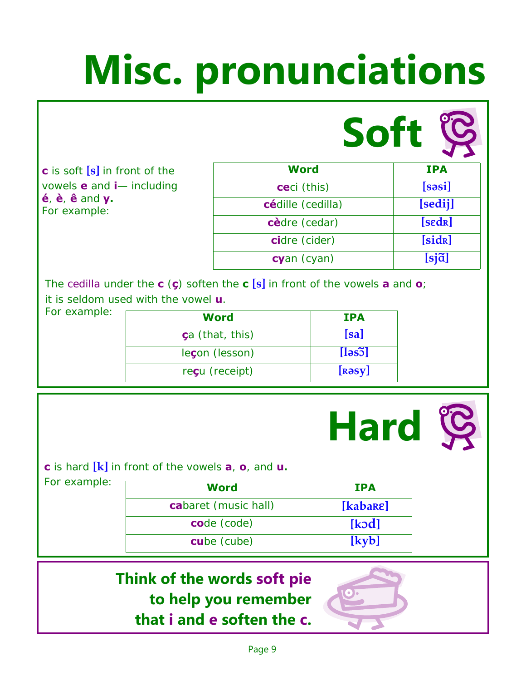# **Misc. pronunciations**

**c** is soft **[s]** in front of the vowels **e** and **i**— including **é**, **è**, **ê** and **y.**  For example:

| <b>Soft</b>         |                     |
|---------------------|---------------------|
| <b>Word</b>         | <b>IPA</b>          |
| <b>ce</b> ci (this) | [səsi]              |
| cédille (cedilla)   | [sedij]             |
| cèdre (cedar)       | [sedR]              |
| cidre (cider)       | [sid <sub>R</sub> ] |
| cyan (cyan)         | $[sj \tilde{a}]$    |

The cedilla under the **c** (**ç**) soften the **c [s]** in front of the vowels **a** and **o**; it is seldom used with the vowel **u**.

| For example: | Word                    | <b>IPA</b>              |
|--------------|-------------------------|-------------------------|
|              | <b>ç</b> a (that, this) | [sa]                    |
|              | leçon (lesson)          | $[\text{ls5}]$          |
|              | reçu (receipt)          | $[$ R $\partial$ sy $]$ |



| For example: | <b>Word</b>          | <b>IPA</b>         |
|--------------|----------------------|--------------------|
|              | cabaret (music hall) | [kabare]           |
|              | code (code)          | [k <sub>od</sub> ] |
|              | cube (cube)          | [kyb]              |

#### **Think of the words soft pie to help you remember that i and e soften the c.**



**Hard**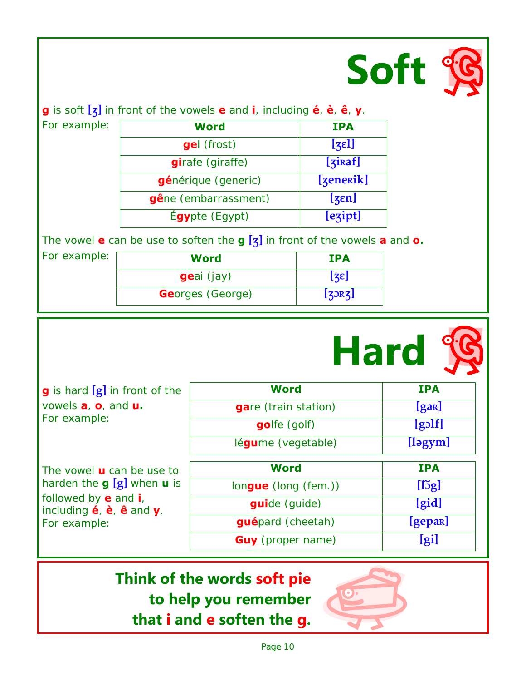

**Contract Contract Contract Contract** 

**g** is soft **[Ω]** in front of the vowels **e** and **i**, including **é**, **è**, **ê**, **y**.

For example:

| Word                 | <b>IPA</b>           |
|----------------------|----------------------|
| <b>gel</b> (frost)   | $[z_5]$              |
| girafe (giraffe)     | [s <sub>iraf</sub> ] |
| générique (generic)  | [zenerik]            |
| gêne (embarrassment) | [sen]                |
| Égypte (Egypt)       | [ezipt]              |

The vowel **e** can be use to soften the **g [Ω]** in front of the vowels **a** and **o.** 

| For example: | Word                    | <b>IPA</b>       |  |
|--------------|-------------------------|------------------|--|
|              | geai (jay)              | $[z\varepsilon]$ |  |
|              | <b>Georges (George)</b> | [3]              |  |

|                                                                                                                            |                          | <b>Hard</b>           |
|----------------------------------------------------------------------------------------------------------------------------|--------------------------|-----------------------|
| <b>g</b> is hard $[g]$ in front of the                                                                                     | <b>Word</b>              | <b>IPA</b>            |
| vowels $\mathbf{a}$ , $\mathbf{o}$ , and $\mathbf{u}$ .                                                                    | gare (train station)     | [gar]                 |
| For example:                                                                                                               | golfe (golf)             | $[g$ <sup>o</sup> lf] |
|                                                                                                                            | légume (vegetable)       | $[$ ləgym $]$         |
| The vowel <b>u</b> can be use to                                                                                           | <b>Word</b>              | <b>IPA</b>            |
| harden the $g[g]$ when $u$ is                                                                                              | $longue$ (long (fem.))   | $[\mathfrak{g}]$      |
| followed by $e$ and $i$ ,<br>including $\acute{\mathbf{e}}$ , $\grave{\mathbf{e}}$ , $\hat{\mathbf{e}}$ and $\mathbf{y}$ . | <b>guide</b> (guide)     | [gid]                 |
| For example:                                                                                                               | guépard (cheetah)        | [gepar]               |
|                                                                                                                            | <b>Guy</b> (proper name) | <u>[gi</u>            |

#### **Think of the words soft pie to help you remember that i and e soften the g.**

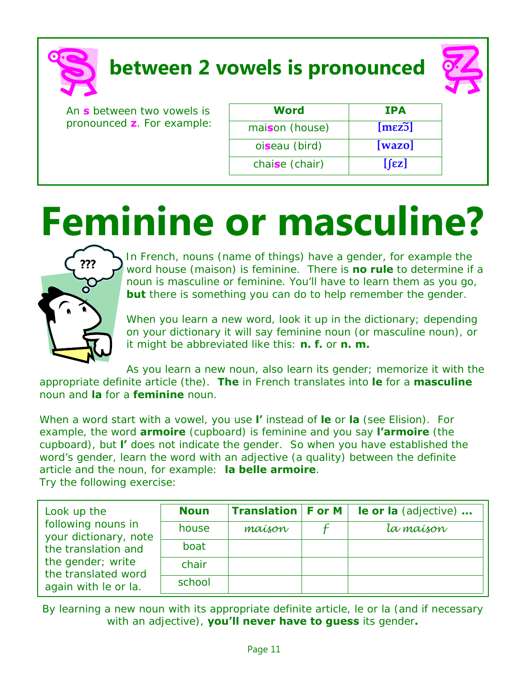**between 2 vowels is pronounced** 

An **s** between two vowels is pronounced **z**. For example:

| Word           | <b>IPA</b>          |
|----------------|---------------------|
| maison (house) | [mez <sub>5</sub> ] |
| oiseau (bird)  | $[\text{wazo}]$     |
| chaise (chair) | $[\text{fz}]$       |

## **Feminine or masculine?**



In French, nouns (name of things) have a gender, for example the word house (maison) is feminine. There is **no rule** to determine if a noun is masculine or feminine. You'll have to learn them as you go, **but** there is something you can do to help remember the gender.

When you learn a new word, look it up in the dictionary; depending on your dictionary it will say feminine noun (or masculine noun), or it might be abbreviated like this: **n. f.** or **n. m.**

As you learn a new noun, also learn its gender; memorize it with the appropriate definite article (the). **The** in French translates into **le** for a **masculine**  noun and **la** for a **feminine** noun.

When a word start with a vowel, you use **l'** instead of **le** or **la** (see Elision). For example, the word **armoire** (cupboard) is feminine and you say **l'armoire** (the cupboard), but **l'** does not indicate the gender. So when you have established the word's gender, learn the word with an adjective (a quality) between the definite article and the noun, for example: **la belle armoire**. Try the following exercise:

| Look up the                                 | <b>Noun</b> | <b>Translation F or M</b> | le or la (adjective) |
|---------------------------------------------|-------------|---------------------------|----------------------|
| following nouns in<br>your dictionary, note | house       | maíson                    | la maíson            |
| the translation and                         | boat        |                           |                      |
| the gender; write<br>the translated word    | chair       |                           |                      |
| again with le or la.                        | school      |                           |                      |

By learning a new noun with its appropriate definite article, le or la (and if necessary with an adjective), **you'll never have to guess** its gender**.**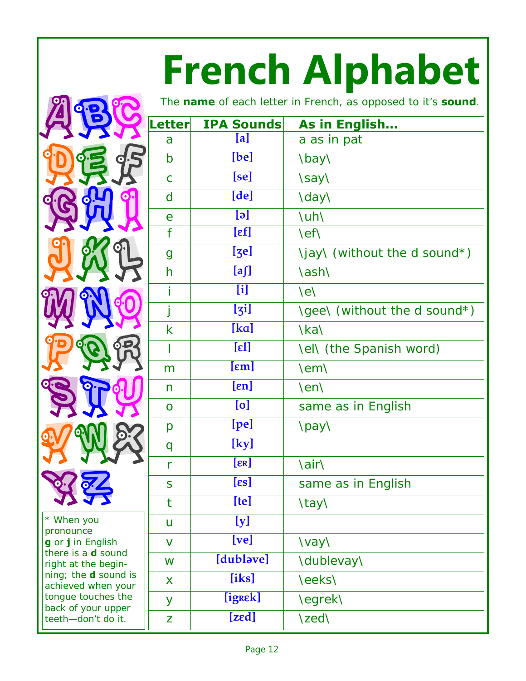# **French Alphabet**

|   | O.E<br>LE     | <b>9</b>    |
|---|---------------|-------------|
|   | $\frac{1}{2}$ |             |
| Š | az 9          |             |
|   |               | 7           |
| W | R             | $\alpha$    |
|   | RA            |             |
|   | <b>PP</b>     |             |
|   |               | <b>Pill</b> |
|   | 22            |             |
|   |               |             |

pronounce **g** or **j** in English there is a **d** sound right at the beginning; the **d** sound is achieved when your tongue touches the back of your upper teeth—don't do it.

| Letter       | <b>IPA Sounds</b>        | As in English                          |
|--------------|--------------------------|----------------------------------------|
| a            | [a]                      | a as in pat                            |
| b            | [be]                     | \bay\                                  |
| $\mathsf{C}$ | [se]                     | \say\                                  |
| $\mathsf{d}$ | [de]                     | \day\                                  |
| e            | $\lbrack \Theta \rbrack$ | \uh\                                   |
| f            | $[\epsilon f]$           | \ef\                                   |
| g            | [g <sub>e</sub> ]        | \jay\ (without the d sound*)           |
| h            | [a]                      | \ash\                                  |
| İ            | [i]                      | $\left\langle \mathrm{e}\right\rangle$ |
| j            | [j]                      | \gee\ (without the d sound*)           |
| k            | [ka]                     | \ka\                                   |
| I            | $[\epsilon]$             | <b>Nell (the Spanish word)</b>         |
| m            | $[\epsilon m]$           | \em\                                   |
| n            | $[\epsilon n]$           | \en\                                   |
| $\mathbf O$  | [o]                      | same as in English                     |
| p            | [pe]                     | \pay\                                  |
| q            | [ky]                     |                                        |
| r            | $[\varepsilon$ R]        | \air\                                  |
| S            | $[\epsilon s]$           | same as in English                     |
| t            | [te]                     | \tay\                                  |
| u            | [y]                      |                                        |
| V            | [ve]                     | \vay\                                  |
| W            | [dublave]                | \dublevay\                             |
| X            | [iks]                    | \eeks\                                 |
| У            | [igrek]                  | \egrek\                                |
| Z            | [zed]                    | \zed\                                  |
|              |                          |                                        |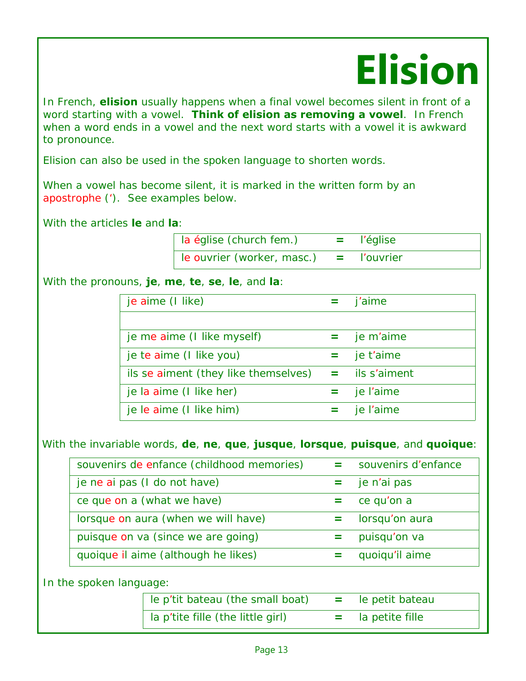## **Elision**

In French, **elision** usually happens when a final vowel becomes silent in front of a word starting with a vowel. **Think of elision as removing a vowel**. In French when a word ends in a vowel and the next word starts with a vowel it is awkward to pronounce.

Elision can also be used in the spoken language to shorten words.

When a vowel has become silent, it is marked in the written form by an apostrophe ('). See examples below.

With the articles **le** and **la**:

 la église (church fem.) **=** l'église le ouvrier (worker, masc.) **=** l'ouvrier

With the pronouns, **je**, **me**, **te**, **se**, **le**, and **la**:

| je aime (I like)                                      | $=$ j'aime    |
|-------------------------------------------------------|---------------|
|                                                       |               |
| je me aime (I like myself)                            | $=$ je m'aime |
| je te aime (I like you)                               | je t'aime     |
| ils se aiment (they like themselves) $=$ ils s'aiment |               |
| je la aime (I like her)                               | $=$ je l'aime |
| je le aime (I like him)                               | $=$ je l'aime |

With the invariable words, **de**, **ne**, **que**, **jusque**, **lorsque**, **puisque**, and **quoique**:

| souvenirs de enfance (childhood memories) | souvenirs d'enfance |
|-------------------------------------------|---------------------|
| je ne ai pas (I do not have)              | je n'ai pas         |
| ce que on a (what we have)                | ce qu'on a          |
| lorsque on aura (when we will have)       | lorsqu'on aura      |
| puisque on va (since we are going)        | puisqu'on va        |
| quoique il aime (although he likes)       | quoiqu'il aime      |
|                                           |                     |

In the spoken language:

| le p'tit bateau (the small boat)  |   | le petit batea  |
|-----------------------------------|---|-----------------|
| la p'tite fille (the little girl) | = | la petite fille |

 $=$  le petit bateau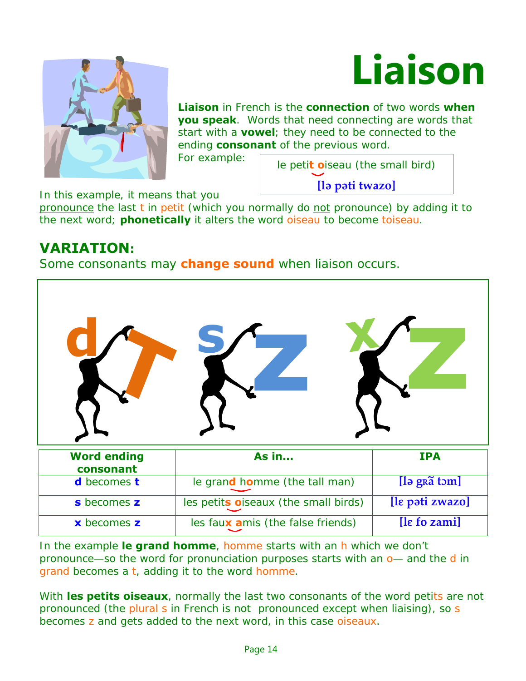



**Liaison** in French is the **connection** of two words **when you speak**. Words that need connecting are words that start with a **vowel**; they need to be connected to the ending **consonant** of the previous word.

For example:  $\sqrt{\frac{1}{1-\frac{1}{1-\frac{1}{1-\frac{1}{1-\frac{1}{1-\frac{1}{1-\frac{1}{1-\frac{1}{1-\frac{1}{1-\frac{1}{1-\frac{1}{1-\frac{1}{1-\frac{1}{1-\frac{1}{1-\frac{1}{1-\frac{1}{1-\frac{1}{1-\frac{1}{1-\frac{1}{1-\frac{1}{1-\frac{1}{1-\frac{1}{1-\frac{1}{1-\frac{1}{1-\frac{1}{1-\frac{1}{1-\frac{1}{1-\frac{1}{1-\frac{1}{1-\frac{1}{1-\frac{1}{1-\frac{1}{1-\frac{1}{1-\frac{1}{1-\frac$ **[l\ p\ti twazo]**

In this example, it means that you

pronounce the last t in petit (which you normally do not pronounce) by adding it to the next word; **phonetically** it alters the word oiseau to become *toiseau*.

#### **VARIATION:**

Some consonants may **change sound** when liaison occurs.



| s becomes z               | les petits oiseaux (the small birds) | [lɛ pəti zwazo]                                     |
|---------------------------|--------------------------------------|-----------------------------------------------------|
| <b>x</b> becomes <b>z</b> | les faux amis (the false friends)    | $\left[ \text{Re } f \text{o } \text{zami} \right]$ |

In the example **le grand homme***,* homme starts with an h which we don't pronounce—so the word for pronunciation purposes starts with an o— and the d in grand becomes a t, adding it to the word homme.

With **les petits oiseaux**, normally the last two consonants of the word petits are not pronounced (the plural s in French is not pronounced except when liaising), so s becomes z and gets added to the next word, in this case oiseaux.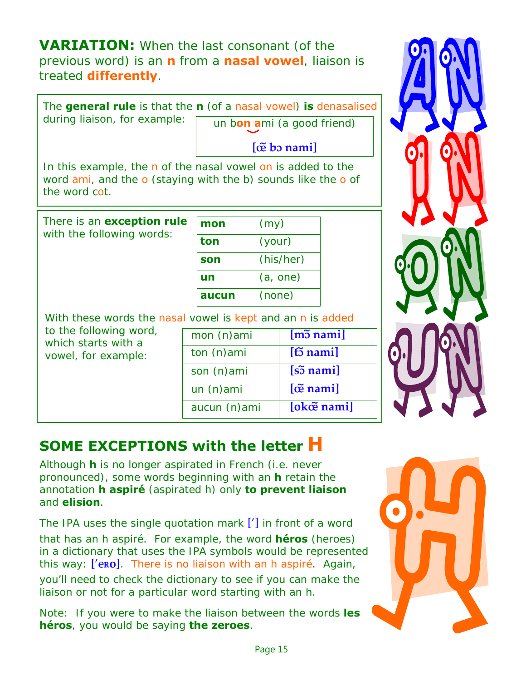**VARIATION:** When the last consonant (of the previous word) is an **n** from a **nasal vowel**, liaison is treated **differently**.

The **general rule** is that the **n** (of a nasal vowel) **is** denasalised

during liaison, for example: **un bon ami** (a good friend)

**[œ~ bø nami]** 

In this example, the n of the nasal vowel on is added to the word ami, and the o (staying with the b) sounds like the o of the word cot.

There is an **exception rule** with the following words:

| mon   | (my)      |
|-------|-----------|
| ton   | (your)    |
| son   | (his/her) |
| un    | (a, one)  |
| aucun | (none)    |

With these words the nasal vowel is kept and an n is added

| to the following word, |                         |
|------------------------|-------------------------|
| which starts with a    |                         |
| vowel, for example:    | tr                      |
|                        | $\overline{\mathsf{S}}$ |
|                        |                         |

mon (n)ami **[mø~ nami]** on (n)ami **i [t͡o nami]** son (n)ami **[sø~ nami]** un (n)ami **[œ~ nami]**  aucun (n)ami **[okœ~ nami]** 



#### **SOME EXCEPTIONS with the letter H**

Although **h** is no longer aspirated in French (i.e. never pronounced), some words beginning with an **h** retain the annotation **h aspiré** (aspirated h) only **to prevent liaison**  and **elision**.

The IPA uses the single quotation mark ['] in front of a word that has an h aspiré. For example, the word **héros** (heroes) in a dictionary that uses the IPA symbols would be represented this way: ['e**Ro**]. There is no liaison with an h aspiré. Again, you'll need to check the dictionary to see if you can make the liaison or not for a particular word starting with an h.

Note: If you were to make the liaison between the words **les héros**, you would be saying **the zeroes**.